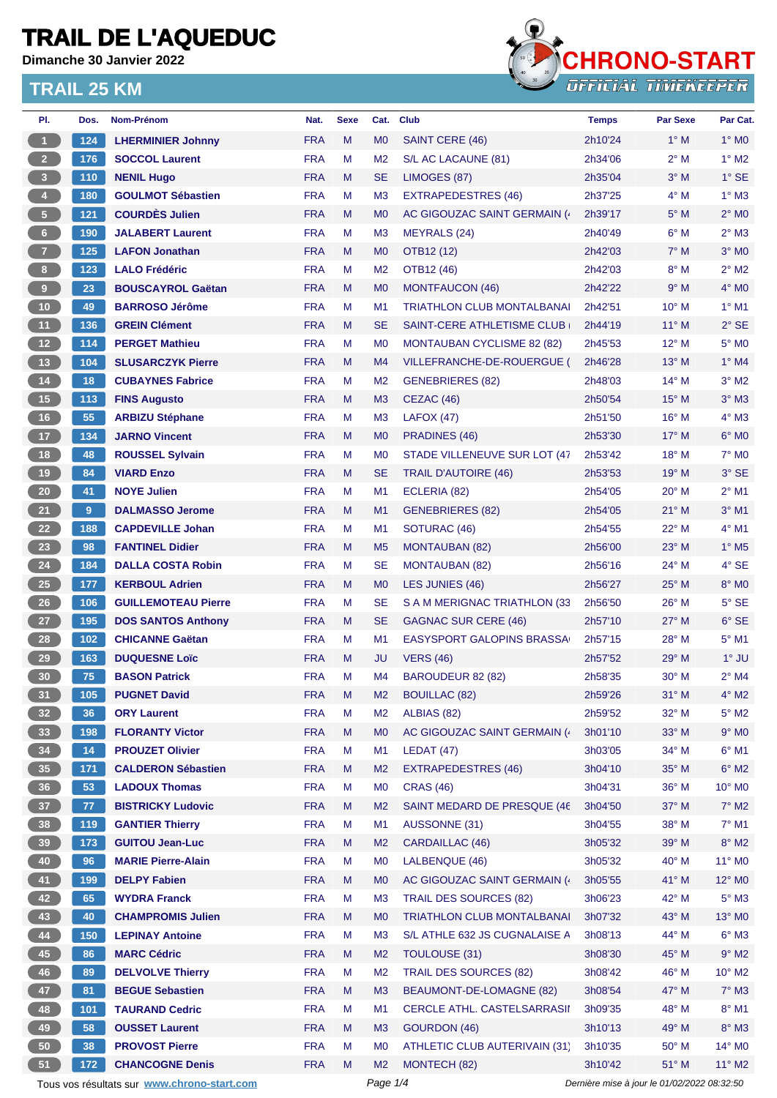**Dimanche 30 Janvier 2022**



| PI.                                                                                                    | Dos.  | Nom-Prénom                 | Nat.       | <b>Sexe</b> | Cat.           | <b>Club</b>                          | <b>Temps</b>       | <b>Par Sexe</b> | Par Cat.                 |  |
|--------------------------------------------------------------------------------------------------------|-------|----------------------------|------------|-------------|----------------|--------------------------------------|--------------------|-----------------|--------------------------|--|
| $\blacktriangleleft$                                                                                   | 124   | <b>LHERMINIER Johnny</b>   | <b>FRA</b> | M           | M <sub>0</sub> | SAINT CERE (46)                      | 2h10'24            | $1^\circ$ M     | $1^\circ$ MO             |  |
| $\overline{2}$                                                                                         | 176   | <b>SOCCOL Laurent</b>      | <b>FRA</b> | М           | M <sub>2</sub> | S/L AC LACAUNE (81)                  | 2h34'06            | $2^{\circ}$ M   | $1^\circ$ M2             |  |
| $\overline{\mathbf{3}}$                                                                                | 110   | <b>NENIL Hugo</b>          | <b>FRA</b> | M           | <b>SE</b>      | LIMOGES (87)                         | 2h35'04            | $3^\circ$ M     | $1^\circ$ SE             |  |
| $\overline{4}$                                                                                         | 180   | <b>GOULMOT Sébastien</b>   | <b>FRA</b> | М           | M <sub>3</sub> | <b>EXTRAPEDESTRES (46)</b>           | 2h37'25            | 4° M            | $1^\circ$ M3             |  |
| $\sqrt{5}$                                                                                             | $121$ | <b>COURDÈS Julien</b>      | <b>FRA</b> | M           | M <sub>0</sub> | AC GIGOUZAC SAINT GERMAIN (          | 2h39'17            | $5^\circ$ M     | $2^{\circ}$ MO           |  |
| $6\phantom{.}6$                                                                                        | 190   | <b>JALABERT Laurent</b>    | <b>FRA</b> | М           | M <sub>3</sub> | <b>MEYRALS (24)</b>                  | 2h40'49            | $6^\circ$ M     | $2^{\circ}$ M3           |  |
| $\mathbf{7}$                                                                                           | 125   | <b>LAFON Jonathan</b>      | <b>FRA</b> | M           | M <sub>0</sub> | OTB12 (12)                           | 2h42'03            | $7^\circ$ M     | $3°$ MO                  |  |
| 8                                                                                                      | 123   | <b>LALO Frédéric</b>       | <b>FRA</b> | М           | M <sub>2</sub> | OTB12 (46)                           | 2h42'03            | $8^\circ$ M     | $2^{\circ}$ M2           |  |
| 9                                                                                                      | 23    | <b>BOUSCAYROL Gaëtan</b>   | <b>FRA</b> | M           | M <sub>0</sub> | <b>MONTFAUCON (46)</b>               | 2h42'22            | 9° M            | $4^\circ$ MO             |  |
| 10                                                                                                     | 49    | <b>BARROSO Jérôme</b>      | <b>FRA</b> | М           | M <sub>1</sub> | <b>TRIATHLON CLUB MONTALBANAI</b>    | 2h42'51            | $10^{\circ}$ M  | $1^\circ$ M1             |  |
| 11                                                                                                     | 136   | <b>GREIN Clément</b>       | <b>FRA</b> | M           | <b>SE</b>      | SAINT-CERE ATHLETISME CLUB           | 2h44'19            | $11^{\circ}$ M  | $2°$ SE                  |  |
| 12 <sup>°</sup>                                                                                        | 114   | <b>PERGET Mathieu</b>      | <b>FRA</b> | М           | M <sub>0</sub> | <b>MONTAUBAN CYCLISME 82 (82)</b>    | 2h45'53            | $12^{\circ}$ M  | 5° MO                    |  |
| 13                                                                                                     | 104   | <b>SLUSARCZYK Pierre</b>   | <b>FRA</b> | M           | M4             | VILLEFRANCHE-DE-ROUERGUE (           | 2h46'28            | $13^{\circ}$ M  | $1^\circ$ M4             |  |
| $14$                                                                                                   | 18    | <b>CUBAYNES Fabrice</b>    | <b>FRA</b> | М           | M <sub>2</sub> | <b>GENEBRIERES (82)</b>              | 2h48'03            | $14^{\circ}$ M  | $3^\circ$ M2             |  |
| 15                                                                                                     | 113   | <b>FINS Augusto</b>        | <b>FRA</b> | M           | M <sub>3</sub> | CEZAC (46)                           | 2h50'54            | $15^{\circ}$ M  | $3°$ M $3$               |  |
| 16                                                                                                     | 55    | <b>ARBIZU Stéphane</b>     | <b>FRA</b> | М           | M <sub>3</sub> | LAFOX(47)                            | 2h51'50            | $16^{\circ}$ M  | 4° M3                    |  |
| 17                                                                                                     | 134   | <b>JARNO Vincent</b>       | <b>FRA</b> | M           | M <sub>0</sub> | PRADINES (46)                        | 2h53'30            | $17^{\circ}$ M  | $6^\circ$ MO             |  |
| 18                                                                                                     | 48    | <b>ROUSSEL Sylvain</b>     | <b>FRA</b> | М           | M <sub>0</sub> | STADE VILLENEUVE SUR LOT (47         | 2h53'42            | $18^{\circ}$ M  | $7^\circ$ MO             |  |
| 19                                                                                                     | 84    | <b>VIARD Enzo</b>          | <b>FRA</b> | M           | <b>SE</b>      | <b>TRAIL D'AUTOIRE (46)</b>          | 2h53'53            | $19^{\circ}$ M  | $3°$ SE                  |  |
| 20                                                                                                     | 41    | <b>NOYE Julien</b>         | <b>FRA</b> | М           | M <sub>1</sub> | ECLERIA (82)                         | 2h54'05            | $20^\circ$ M    | $2^{\circ}$ M1           |  |
| 21                                                                                                     | 9     | <b>DALMASSO Jerome</b>     | <b>FRA</b> | M           | M1             | <b>GENEBRIERES (82)</b>              | 2h54'05            | $21°$ M         | $3°$ M1                  |  |
| 22                                                                                                     | 188   | <b>CAPDEVILLE Johan</b>    | <b>FRA</b> | М           | M <sub>1</sub> | SOTURAC (46)                         | 2h54'55            | 22° M           | $4^{\circ}$ M1           |  |
| 23                                                                                                     | 98    | <b>FANTINEL Didier</b>     | <b>FRA</b> | M           | M <sub>5</sub> | <b>MONTAUBAN (82)</b>                | 2h56'00            | $23^\circ$ M    | $1^\circ$ M <sub>5</sub> |  |
| 24                                                                                                     | 184   | <b>DALLA COSTA Robin</b>   | <b>FRA</b> | М           | <b>SE</b>      | <b>MONTAUBAN (82)</b>                | 2h56'16            | $24^{\circ}$ M  | $4^\circ$ SE             |  |
| 25                                                                                                     | 177   | <b>KERBOUL Adrien</b>      | <b>FRA</b> | M           | M <sub>0</sub> | LES JUNIES (46)                      | 2h56'27            | $25^{\circ}$ M  | 8° MO                    |  |
| 26                                                                                                     | 106   | <b>GUILLEMOTEAU Pierre</b> | <b>FRA</b> | М           | <b>SE</b>      | S A M MERIGNAC TRIATHLON (33         | 2h56'50            | $26^{\circ}$ M  | $5^\circ$ SE             |  |
| 27                                                                                                     | 195   | <b>DOS SANTOS Anthony</b>  | <b>FRA</b> | M           | <b>SE</b>      | GAGNAC SUR CERE (46)                 | 2h57'10            | $27^\circ$ M    | $6°$ SE                  |  |
| 28                                                                                                     | 102   | <b>CHICANNE Gaëtan</b>     | <b>FRA</b> | М           | M1             | <b>EASYSPORT GALOPINS BRASSA</b>     | 2h57'15            | $28^{\circ}$ M  | $5^\circ$ M1             |  |
| 29                                                                                                     | 163   | <b>DUQUESNE Loïc</b>       | <b>FRA</b> | M           | <b>JU</b>      | <b>VERS (46)</b>                     | 2h57'52            | 29° M           | $1^\circ$ JU             |  |
| 30                                                                                                     | 75    | <b>BASON Patrick</b>       | <b>FRA</b> | М           | M4             | BAROUDEUR 82 (82)                    | 2h58'35            | $30^\circ$ M    | $2^{\circ}$ M4           |  |
| 31                                                                                                     | 105   | <b>PUGNET David</b>        | <b>FRA</b> | M           | M <sub>2</sub> | <b>BOUILLAC (82)</b>                 | 2h59'26            | $31^\circ$ M    | $4^\circ$ M2             |  |
| 32 <sub>2</sub>                                                                                        | 36    | <b>ORY Laurent</b>         | <b>FRA</b> | Μ           | M <sub>2</sub> | ALBIAS (82)                          | 2h59'52            | $32^{\circ}$ M  | $5^\circ$ M2             |  |
| 33                                                                                                     | 198   | <b>FLORANTY Victor</b>     | <b>FRA</b> | M           | M <sub>0</sub> | AC GIGOUZAC SAINT GERMAIN (          | 3h01'10            | 33° M           | $9^\circ$ MO             |  |
| 34                                                                                                     | 14    | <b>PROUZET Olivier</b>     | <b>FRA</b> | М           | M <sub>1</sub> | LEDAT(47)                            | 3h03'05            | 34° M           | $6^\circ$ M1             |  |
| 35                                                                                                     | 171   | <b>CALDERON Sébastien</b>  | <b>FRA</b> | M           | M <sub>2</sub> | <b>EXTRAPEDESTRES (46)</b>           | 3h04'10            | 35° M           | $6^\circ$ M2             |  |
| 36                                                                                                     | 53    | <b>LADOUX Thomas</b>       | <b>FRA</b> | M           | M <sub>0</sub> | <b>CRAS (46)</b>                     | 3h04'31            | 36° M           | 10° MO                   |  |
| 37 <sup>°</sup>                                                                                        | $77$  | <b>BISTRICKY Ludovic</b>   | <b>FRA</b> | Μ           | M <sub>2</sub> | SAINT MEDARD DE PRESQUE (46          | 3h04'50            | 37° M           | $7^\circ$ M2             |  |
| 38                                                                                                     | 119   | <b>GANTIER Thierry</b>     | <b>FRA</b> | M           | M1             | AUSSONNE (31)                        | 3h04'55            | $38^\circ$ M    | $7^\circ$ M1             |  |
| 39                                                                                                     | 173   | <b>GUITOU Jean-Luc</b>     | <b>FRA</b> | M           | M <sub>2</sub> | CARDAILLAC (46)                      | 3h05'32            | 39° M           | $8^\circ$ M2             |  |
| 40                                                                                                     | 96    | <b>MARIE Pierre-Alain</b>  | <b>FRA</b> | М           | M <sub>0</sub> | LALBENQUE (46)                       | 3h05'32            | 40° M           | 11° MO                   |  |
| 41                                                                                                     | 199   | <b>DELPY Fabien</b>        | <b>FRA</b> | Μ           | M <sub>0</sub> | AC GIGOUZAC SAINT GERMAIN (          | 3h05'55            | 41° M           | 12° M <sub>0</sub>       |  |
| 42                                                                                                     | 65    | <b>WYDRA Franck</b>        | <b>FRA</b> | M           | M <sub>3</sub> | <b>TRAIL DES SOURCES (82)</b>        | 3h06'23            | 42° M           | $5^\circ$ M3             |  |
| 43                                                                                                     | 40    | <b>CHAMPROMIS Julien</b>   | <b>FRA</b> | M           | M <sub>0</sub> | <b>TRIATHLON CLUB MONTALBANAI</b>    | 3h07'32            | 43° M           | 13° MO                   |  |
| 44                                                                                                     | 150   | <b>LEPINAY Antoine</b>     | <b>FRA</b> | M           | M <sub>3</sub> | S/L ATHLE 632 JS CUGNALAISE A        |                    | 44° M           | $6^\circ$ M3             |  |
| 45                                                                                                     |       | <b>MARC Cédric</b>         | <b>FRA</b> | M           | M <sub>2</sub> | <b>TOULOUSE (31)</b>                 | 3h08'13<br>3h08'30 | 45° M           | $9^\circ$ M2             |  |
| 46                                                                                                     | 86    | <b>DELVOLVE Thierry</b>    | <b>FRA</b> | М           | M <sub>2</sub> | <b>TRAIL DES SOURCES (82)</b>        | 3h08'42            | 46° M           | $10^{\circ}$ M2          |  |
|                                                                                                        | 89    |                            |            |             |                |                                      |                    |                 |                          |  |
| 47                                                                                                     | 81    | <b>BEGUE Sebastien</b>     | <b>FRA</b> | Μ           | M <sub>3</sub> | BEAUMONT-DE-LOMAGNE (82)             | 3h08'54            | 47° M           | $7^\circ$ M3             |  |
| 48                                                                                                     | $101$ | <b>TAURAND Cedric</b>      | <b>FRA</b> | M           | M <sub>1</sub> | <b>CERCLE ATHL. CASTELSARRASII</b>   | 3h09'35            | 48° M           | $8^\circ$ M1             |  |
| 49                                                                                                     | 58    | <b>OUSSET Laurent</b>      | <b>FRA</b> | M           | M3             | GOURDON (46)                         | 3h10'13            | 49° M           | $8^\circ$ M3             |  |
| 50                                                                                                     | 38    | <b>PROVOST Pierre</b>      | <b>FRA</b> | М           | M <sub>0</sub> | <b>ATHLETIC CLUB AUTERIVAIN (31)</b> | 3h10'35            | $50^\circ$ M    | 14° M0                   |  |
| 51                                                                                                     | 172   | <b>CHANCOGNE Denis</b>     | <b>FRA</b> | M           | M <sub>2</sub> | MONTECH (82)                         | 3h10'42            | $51^\circ$ M    | $11^{\circ}$ M2          |  |
| Page 1/4<br>Dernière mise à jour le 01/02/2022 08:32:50<br>Tous vos résultats sur www.chrono-start.com |       |                            |            |             |                |                                      |                    |                 |                          |  |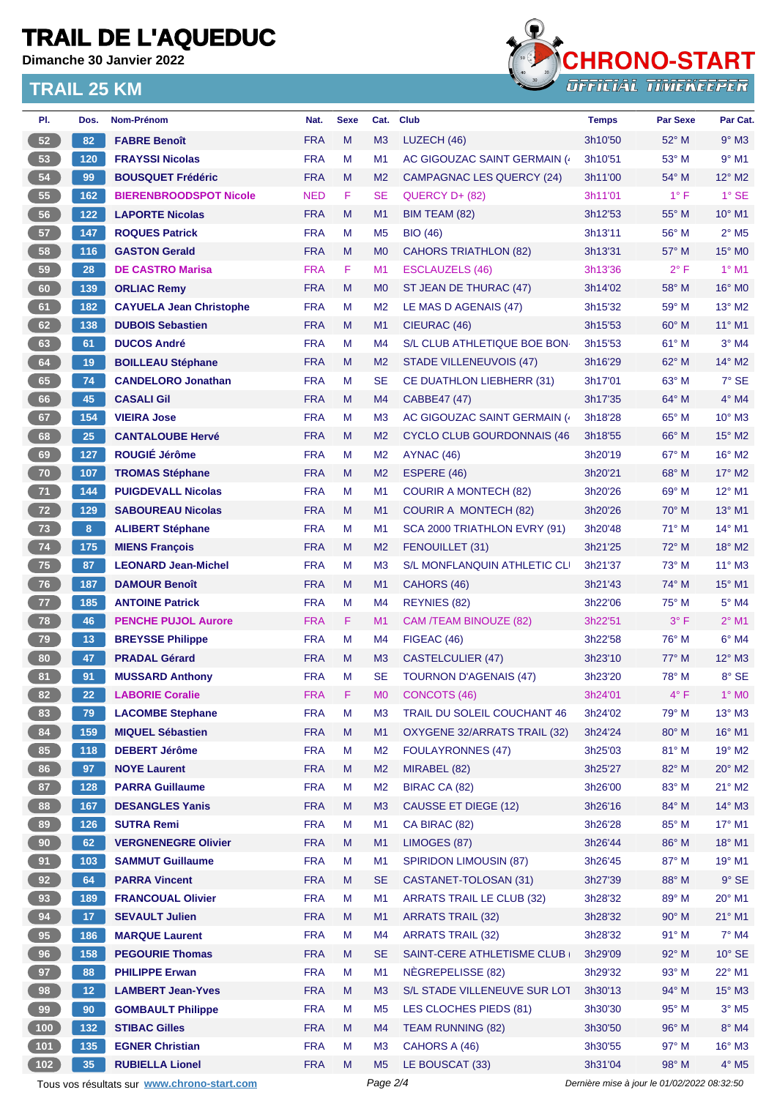**Dimanche 30 Janvier 2022**



| PI.             | Dos.            | Nom-Prénom                                  | Nat.       | <b>Sexe</b> | Cat.           | <b>Club</b>                      | <b>Temps</b>                                | <b>Par Sexe</b> | Par Cat.                   |
|-----------------|-----------------|---------------------------------------------|------------|-------------|----------------|----------------------------------|---------------------------------------------|-----------------|----------------------------|
| 52              | 82              | <b>FABRE Benoît</b>                         | <b>FRA</b> | M           | M3             | LUZECH (46)                      | 3h10'50                                     | 52° M           | $9°$ M3                    |
| 53              | 120             | <b>FRAYSSI Nicolas</b>                      | <b>FRA</b> | M           | M <sub>1</sub> | AC GIGOUZAC SAINT GERMAIN (4     | 3h10'51                                     | 53° M           | $9°$ M1                    |
| 54              | 99              | <b>BOUSQUET Frédéric</b>                    | <b>FRA</b> | M           | M <sub>2</sub> | <b>CAMPAGNAC LES QUERCY (24)</b> | 3h11'00                                     | 54° M           | 12° M2                     |
| 55              | 162             | <b>BIERENBROODSPOT Nicole</b>               | <b>NED</b> | F.          | SE             | QUERCY D+ (82)                   | 3h11'01                                     | $1^{\circ}$ F   | $1^\circ$ SE               |
| 56              | 122             | <b>LAPORTE Nicolas</b>                      | <b>FRA</b> | M           | M1             | BIM TEAM (82)                    | 3h12'53                                     | $55^{\circ}$ M  | $10^{\circ}$ M1            |
| 57              | 147             | <b>ROQUES Patrick</b>                       | <b>FRA</b> | M           | M <sub>5</sub> | <b>BIO</b> (46)                  | 3h13'11                                     | 56° M           | $2^{\circ}$ M <sub>5</sub> |
| 58              | 116             | <b>GASTON Gerald</b>                        | <b>FRA</b> | M           | M <sub>0</sub> | <b>CAHORS TRIATHLON (82)</b>     | 3h13'31                                     | $57^\circ$ M    | 15° MO                     |
| 59              | 28              | <b>DE CASTRO Marisa</b>                     | <b>FRA</b> | F.          | M1             | <b>ESCLAUZELS (46)</b>           | 3h13'36                                     | $2^{\circ}$ F   | $1°$ M1                    |
| 60              | 139             | <b>ORLIAC Remy</b>                          | <b>FRA</b> | M           | M <sub>0</sub> | ST JEAN DE THURAC (47)           | 3h14'02                                     | $58^\circ$ M    | $16^\circ$ MO              |
| 61              | 182             | <b>CAYUELA Jean Christophe</b>              | <b>FRA</b> | M           | M <sub>2</sub> | LE MAS D AGENAIS (47)            | 3h15'32                                     | 59° M           | 13° M2                     |
| 62              | 138             | <b>DUBOIS Sebastien</b>                     | <b>FRA</b> | M           | M1             | CIEURAC (46)                     | 3h15'53                                     | $60^\circ$ M    | $11^{\circ}$ M1            |
| 63              | 61              | <b>DUCOS André</b>                          | <b>FRA</b> | M           | M4             | S/L CLUB ATHLETIQUE BOE BON      | 3h15'53                                     | 61° M           | $3°$ M4                    |
| 64              | 19              | <b>BOILLEAU Stéphane</b>                    | <b>FRA</b> | M           | M <sub>2</sub> | <b>STADE VILLENEUVOIS (47)</b>   | 3h16'29                                     | $62^{\circ}$ M  | $14^{\circ}$ M2            |
| 65              | 74              | <b>CANDELORO Jonathan</b>                   | <b>FRA</b> | M           | SE             | CE DUATHLON LIEBHERR (31)        | 3h17'01                                     | 63° M           | $7°$ SE                    |
| 66              | 45              | <b>CASALI Gil</b>                           | <b>FRA</b> | M           | M4             | CABBE47 (47)                     | 3h17'35                                     | $64^{\circ}$ M  | $4^\circ$ M4               |
| 67              | 154             | <b>VIEIRA Jose</b>                          | <b>FRA</b> | M           | M <sub>3</sub> | AC GIGOUZAC SAINT GERMAIN (      | 3h18'28                                     | $65^{\circ}$ M  | $10^{\circ}$ M3            |
| 68              | 25              | <b>CANTALOUBE Hervé</b>                     | <b>FRA</b> | M           | M <sub>2</sub> | CYCLO CLUB GOURDONNAIS (46       | 3h18'55                                     | $66^{\circ}$ M  | $15^\circ$ M2              |
| 69              | 127             | ROUGIÉ Jérôme                               | <b>FRA</b> | M           | M <sub>2</sub> | AYNAC (46)                       | 3h20'19                                     | $67^\circ$ M    | $16^{\circ}$ M2            |
| 70              | 107             | <b>TROMAS Stéphane</b>                      | <b>FRA</b> | M           | M <sub>2</sub> | ESPERE (46)                      | 3h20'21                                     | $68^\circ$ M    | 17° M2                     |
| 71              | 144             | <b>PUIGDEVALL Nicolas</b>                   | <b>FRA</b> | M           | M1             | <b>COURIR A MONTECH (82)</b>     | 3h20'26                                     | $69^\circ$ M    | 12° M1                     |
| 72              | 129             | <b>SABOUREAU Nicolas</b>                    | <b>FRA</b> | M           | M1             | <b>COURIR A MONTECH (82)</b>     | 3h20'26                                     | $70^\circ$ M    | 13° M1                     |
| 73              | 8               | <b>ALIBERT Stéphane</b>                     | <b>FRA</b> | M           | M <sub>1</sub> | SCA 2000 TRIATHLON EVRY (91)     | 3h20'48                                     | $71^\circ$ M    | $14^{\circ}$ M1            |
|                 |                 |                                             |            |             |                |                                  |                                             |                 |                            |
| 74              | 175             | <b>MIENS François</b>                       | <b>FRA</b> | M           | M <sub>2</sub> | FENOUILLET (31)                  | 3h21'25                                     | $72^{\circ}$ M  | 18° M2                     |
| 75              | 87              | <b>LEONARD Jean-Michel</b>                  | <b>FRA</b> | M           | M <sub>3</sub> | S/L MONFLANQUIN ATHLETIC CLI     | 3h21'37                                     | 73° M           | $11^{\circ}$ M3            |
| 76              | 187             | <b>DAMOUR Benoît</b>                        | <b>FRA</b> | M           | M1             | CAHORS (46)                      | 3h21'43                                     | $74^\circ$ M    | $15^{\circ}$ M1            |
| $77$            | 185             | <b>ANTOINE Patrick</b>                      | <b>FRA</b> | M           | M4             | <b>REYNIES (82)</b>              | 3h22'06                                     | $75^{\circ}$ M  | 5° M4                      |
| 78              | 46              | <b>PENCHE PUJOL Aurore</b>                  | <b>FRA</b> | F           | M1             | CAM /TEAM BINOUZE (82)           | 3h22'51                                     | 3° F            | $2^{\circ}$ M1             |
| 79              | 13              | <b>BREYSSE Philippe</b>                     | <b>FRA</b> | M           | M4             | FIGEAC (46)                      | 3h22'58                                     | 76° M           | $6°$ M4                    |
| 80              | 47              | <b>PRADAL Gérard</b>                        | <b>FRA</b> | M           | M <sub>3</sub> | <b>CASTELCULIER (47)</b>         | 3h23'10                                     | $77^\circ$ M    | $12^{\circ}$ M3            |
| 81              | 91              | <b>MUSSARD Anthony</b>                      | <b>FRA</b> | M           | <b>SE</b>      | <b>TOURNON D'AGENAIS (47)</b>    | 3h23'20                                     | 78° M           | 8° SE                      |
| 82              | 22              | <b>LABORIE Coralie</b>                      | <b>FRA</b> | F           | M <sub>0</sub> | CONCOTS (46)                     | 3h24'01                                     | $4^{\circ}$ F   | $1^\circ$ MO               |
| 83              | 79              | <b>LACOMBE Stephane</b>                     | <b>FRA</b> | M           | M3             | TRAIL DU SOLEIL COUCHANT 46      | 3h24'02                                     | $79^\circ$ M    | $13^\circ$ M3              |
| 84              | 159             | <b>MIQUEL Sébastien</b>                     | <b>FRA</b> | M           | M1             | OXYGENE 32/ARRATS TRAIL (32)     | 3h24'24                                     | 80° M           | $16^{\circ}$ M1            |
| 85              | 118             | <b>DEBERT Jérôme</b>                        | <b>FRA</b> | M           | M <sub>2</sub> | <b>FOULAYRONNES (47)</b>         | 3h25'03                                     | 81° M           | 19° M2                     |
| 86              | 97              | <b>NOYE Laurent</b>                         | <b>FRA</b> | M           | M <sub>2</sub> | MIRABEL (82)                     | 3h25'27                                     | 82° M           | $20^\circ$ M2              |
| 87              | 128             | <b>PARRA Guillaume</b>                      | <b>FRA</b> | M           | M <sub>2</sub> | BIRAC CA (82)                    | 3h26'00                                     | 83° M           | $21^\circ$ M2              |
| 88              | 167             | <b>DESANGLES Yanis</b>                      | <b>FRA</b> | M           | M <sub>3</sub> | <b>CAUSSE ET DIEGE (12)</b>      | 3h26'16                                     | 84° M           | $14^{\circ}$ M3            |
| 89              | 126             | <b>SUTRA Remi</b>                           | <b>FRA</b> | M           | M1             | CA BIRAC (82)                    | 3h26'28                                     | 85° M           | 17° M1                     |
| 90 <sub>o</sub> | 62              | <b>VERGNENEGRE Olivier</b>                  | <b>FRA</b> | M           | M1             | LIMOGES (87)                     | 3h26'44                                     | 86° M           | 18° M1                     |
| 91              | 103             | <b>SAMMUT Guillaume</b>                     | <b>FRA</b> | M           | M1             | <b>SPIRIDON LIMOUSIN (87)</b>    | 3h26'45                                     | 87° M           | 19° M1                     |
| 92              | 64              | <b>PARRA Vincent</b>                        | <b>FRA</b> | M           | <b>SE</b>      | CASTANET-TOLOSAN (31)            | 3h27'39                                     | 88° M           | $9^{\circ}$ SE             |
| 93              | 189             | <b>FRANCOUAL Olivier</b>                    | <b>FRA</b> | M           | M1             | <b>ARRATS TRAIL LE CLUB (32)</b> | 3h28'32                                     | 89° M           | $20^\circ$ M1              |
| 94              | 17 <sub>2</sub> | <b>SEVAULT Julien</b>                       | <b>FRA</b> | M           | M1             | <b>ARRATS TRAIL (32)</b>         | 3h28'32                                     | $90^\circ$ M    | $21^{\circ}$ M1            |
| 95              | 186             | <b>MARQUE Laurent</b>                       | <b>FRA</b> | M           | M <sub>4</sub> | <b>ARRATS TRAIL (32)</b>         | 3h28'32                                     | $91^\circ$ M    | $7^\circ$ M4               |
| 96              | 158             | <b>PEGOURIE Thomas</b>                      | <b>FRA</b> | M           | <b>SE</b>      | SAINT-CERE ATHLETISME CLUB       | 3h29'09                                     | 92° M           | $10^{\circ}$ SE            |
| 97              | 88              | <b>PHILIPPE Erwan</b>                       | <b>FRA</b> | M           | M1             | NEGREPELISSE (82)                | 3h29'32                                     | 93° M           | 22° M1                     |
| 98              | 12 <sub>1</sub> | <b>LAMBERT Jean-Yves</b>                    | <b>FRA</b> | M           | M3             | S/L STADE VILLENEUVE SUR LOT     | 3h30'13                                     | 94° M           | $15^{\circ}$ M3            |
| 99              | 90              | <b>GOMBAULT Philippe</b>                    | <b>FRA</b> | М           | M <sub>5</sub> | LES CLOCHES PIEDS (81)           | 3h30'30                                     | 95° M           | $3^\circ$ M5               |
| $100$           | 132             | <b>STIBAC Gilles</b>                        | <b>FRA</b> | M           | M4             | <b>TEAM RUNNING (82)</b>         | 3h30'50                                     | 96° M           | 8° M4                      |
| $101$           | $135$           | <b>EGNER Christian</b>                      | <b>FRA</b> | M           | M <sub>3</sub> | CAHORS A (46)                    | 3h30'55                                     | $97^\circ$ M    | 16° M3                     |
| $102$           | 35              | <b>RUBIELLA Lionel</b>                      | <b>FRA</b> | M           | M <sub>5</sub> | LE BOUSCAT (33)                  | 3h31'04                                     | 98° M           | $4^\circ$ M <sub>5</sub>   |
|                 |                 | Tous vos résultats sur www.chrono-start.com |            |             | Page 2/4       |                                  | Dernière mise à jour le 01/02/2022 08:32:50 |                 |                            |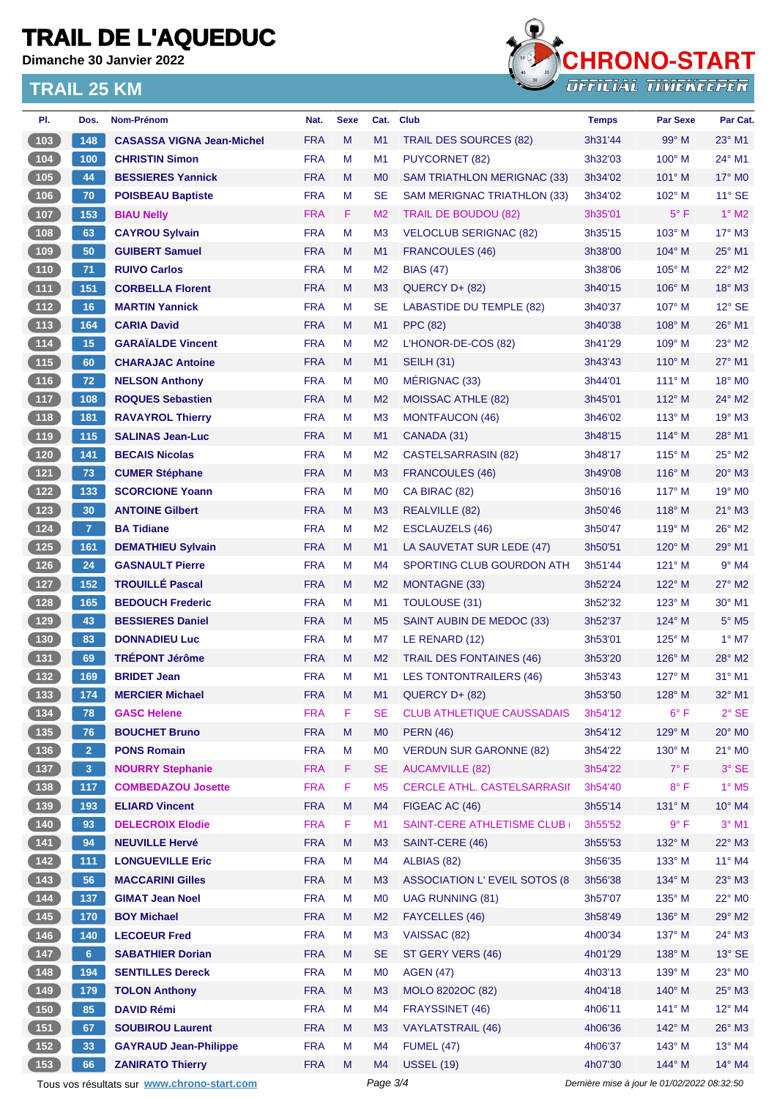**Dimanche 30 Janvier 2022**



| PI.                                                                         | Dos.            | Nom-Prénom                                  | Nat.       | <b>Sexe</b> | Cat.           | <b>Club</b>                          | <b>Temps</b>                                | <b>Par Sexe</b> | Par Cat.                 |
|-----------------------------------------------------------------------------|-----------------|---------------------------------------------|------------|-------------|----------------|--------------------------------------|---------------------------------------------|-----------------|--------------------------|
| (103)                                                                       | 148             | <b>CASASSA VIGNA Jean-Michel</b>            | <b>FRA</b> | M           | M1             | <b>TRAIL DES SOURCES (82)</b>        | 3h31'44                                     | $99^\circ$ M    | $23^\circ$ M1            |
| 104                                                                         | 100             | <b>CHRISTIN Simon</b>                       | <b>FRA</b> | М           | M <sub>1</sub> | <b>PUYCORNET (82)</b>                | 3h32'03                                     | $100^\circ$ M   | $24^{\circ}$ M1          |
| (105)                                                                       | 44              | <b>BESSIERES Yannick</b>                    | <b>FRA</b> | M           | M <sub>0</sub> | SAM TRIATHLON MERIGNAC (33)          | 3h34'02                                     | 101° M          | $17^\circ$ MO            |
| $\boxed{106}$                                                               | 70              | <b>POISBEAU Baptiste</b>                    | <b>FRA</b> | M           | <b>SE</b>      | SAM MERIGNAC TRIATHLON (33)          | 3h34'02                                     | 102° M          | $11^{\circ}$ SE          |
| 107                                                                         | 153             | <b>BIAU Nelly</b>                           | <b>FRA</b> | F           | M <sub>2</sub> | <b>TRAIL DE BOUDOU (82)</b>          | 3h35'01                                     | $5^{\circ}$ F   | $1^\circ$ M2             |
| 108                                                                         | 63              | <b>CAYROU Sylvain</b>                       | <b>FRA</b> | M           | M <sub>3</sub> | <b>VELOCLUB SERIGNAC (82)</b>        | 3h35'15                                     | 103° M          | $17^\circ$ M3            |
| 109                                                                         | 50              | <b>GUIBERT Samuel</b>                       | <b>FRA</b> | M           | M1             | <b>FRANCOULES (46)</b>               | 3h38'00                                     | $104^\circ$ M   | $25^{\circ}$ M1          |
| 110                                                                         | 71              | <b>RUIVO Carlos</b>                         | <b>FRA</b> | M           | M <sub>2</sub> | <b>BIAS (47)</b>                     | 3h38'06                                     | 105° M          | $22^{\circ}$ M2          |
| (111)                                                                       | 151             | <b>CORBELLA Florent</b>                     | <b>FRA</b> | M           | M <sub>3</sub> | QUERCY D+ (82)                       | 3h40'15                                     | $106^\circ$ M   | $18^\circ$ M3            |
|                                                                             | 16              | <b>MARTIN Yannick</b>                       | <b>FRA</b> | М           | <b>SE</b>      | LABASTIDE DU TEMPLE (82)             | 3h40'37                                     | 107° M          | $12^{\circ}$ SE          |
| $\begin{array}{c} \boxed{113} \end{array}$                                  | 164             | <b>CARIA David</b>                          | <b>FRA</b> | M           | M1             | <b>PPC (82)</b>                      | 3h40'38                                     | $108^\circ$ M   | 26° M1                   |
| $\begin{array}{c} \n \text{114}\n \end{array}$                              | 15              | <b>GARAÏALDE Vincent</b>                    | <b>FRA</b> | M           | M <sub>2</sub> | L'HONOR-DE-COS (82)                  | 3h41'29                                     | $109^\circ$ M   | 23° M2                   |
| (115)                                                                       | 60              | <b>CHARAJAC Antoine</b>                     | <b>FRA</b> | M           | M1             | <b>SEILH (31)</b>                    | 3h43'43                                     | $110^{\circ}$ M | $27^\circ$ M1            |
| 116                                                                         | 72 <sub>2</sub> | <b>NELSON Anthony</b>                       | <b>FRA</b> | M           | M <sub>0</sub> | MÉRIGNAC (33)                        | 3h44'01                                     | $111^\circ$ M   | $18^\circ$ MO            |
| (117)                                                                       | 108             | <b>ROQUES Sebastien</b>                     | <b>FRA</b> | M           | M <sub>2</sub> | <b>MOISSAC ATHLE (82)</b>            | 3h45'01                                     | $112^{\circ}$ M | 24° M2                   |
| $\begin{array}{c} \n \begin{array}{c} \n 118 \n \end{array} \n \end{array}$ | 181             | <b>RAVAYROL Thierry</b>                     | <b>FRA</b> | M           | M <sub>3</sub> | MONTFAUCON (46)                      | 3h46'02                                     | $113^\circ$ M   | $19^\circ$ M3            |
| (119)                                                                       | 115             | <b>SALINAS Jean-Luc</b>                     | <b>FRA</b> | M           | M1             | CANADA (31)                          | 3h48'15                                     | $114^{\circ}$ M | 28° M1                   |
| $120$                                                                       | 141             | <b>BECAIS Nicolas</b>                       | <b>FRA</b> | М           | M <sub>2</sub> | CASTELSARRASIN (82)                  | 3h48'17                                     | $115^\circ$ M   | 25° M2                   |
| $\sqrt{121}$                                                                | 73              | <b>CUMER Stéphane</b>                       | <b>FRA</b> | M           | M <sub>3</sub> | <b>FRANCOULES (46)</b>               | 3h49'08                                     | 116° M          | $20^\circ$ M3            |
| $122$                                                                       | 133             | <b>SCORCIONE Yoann</b>                      | <b>FRA</b> | M           | M <sub>0</sub> | CA BIRAC (82)                        | 3h50'16                                     | $117^\circ$ M   | $19^\circ$ MO            |
| (123)                                                                       | 30              | <b>ANTOINE Gilbert</b>                      | <b>FRA</b> | M           | M <sub>3</sub> | REALVILLE (82)                       | 3h50'46                                     | $118^\circ$ M   | $21^{\circ}$ M3          |
| $124$                                                                       | $\overline{7}$  | <b>BA Tidiane</b>                           | <b>FRA</b> | M           | M <sub>2</sub> | ESCLAUZELS (46)                      | 3h50'47                                     | $119^\circ$ M   | $26^\circ$ M2            |
| (125)                                                                       | 161             | <b>DEMATHIEU Sylvain</b>                    | <b>FRA</b> | М           | M1             | LA SAUVETAT SUR LEDE (47)            | 3h50'51                                     | $120^\circ$ M   | 29° M1                   |
| $\boxed{126}$                                                               | 24              | <b>GASNAULT Pierre</b>                      | <b>FRA</b> | M           | M4             | SPORTING CLUB GOURDON ATH            | 3h51'44                                     | $121^\circ$ M   | $9°$ M4                  |
| 127                                                                         | 152             | <b>TROUILLÉ Pascal</b>                      | <b>FRA</b> | M           | M <sub>2</sub> | <b>MONTAGNE (33)</b>                 | 3h52'24                                     | $122^{\circ}$ M | $27^\circ$ M2            |
| 128                                                                         | 165             | <b>BEDOUCH Frederic</b>                     | <b>FRA</b> | M           | M <sub>1</sub> | TOULOUSE (31)                        | 3h52'32                                     | $123^\circ$ M   | 30° M1                   |
| 129                                                                         | 43              | <b>BESSIERES Daniel</b>                     | <b>FRA</b> | M           | M <sub>5</sub> | SAINT AUBIN DE MEDOC (33)            | 3h52'37                                     | $124^\circ$ M   | $5^\circ$ M5             |
| $\begin{array}{c} \n \textbf{130} \n \end{array}$                           | 83              | <b>DONNADIEU Luc</b>                        | <b>FRA</b> | M           | M7             | LE RENARD (12)                       | 3h53'01                                     | $125^\circ$ M   | $1^\circ$ M7             |
| $\sqrt{131}$                                                                | 69              | <b>TRÉPONT Jérôme</b>                       | <b>FRA</b> | M           | M <sub>2</sub> | <b>TRAIL DES FONTAINES (46)</b>      | 3h53'20                                     | $126^\circ$ M   | $28^\circ$ M2            |
| $132$                                                                       | 169             | <b>BRIDET Jean</b>                          | <b>FRA</b> | M           | M <sub>1</sub> | <b>LES TONTONTRAILERS (46)</b>       | 3h53'43                                     | 127° M          | $31^\circ$ M1            |
| (133)                                                                       | 174             | <b>MERCIER Michael</b>                      | <b>FRA</b> | M           | M1             | QUERCY D+ (82)                       | 3h53'50                                     | 128° M          | 32° M1                   |
| (134)                                                                       | 78              | <b>GASC Helene</b>                          | <b>FRA</b> | F           | <b>SE</b>      | <b>CLUB ATHLETIQUE CAUSSADAIS</b>    | 3h54'12                                     | $6^{\circ}$ F   | $2°$ SE                  |
| $135$                                                                       | 76              | <b>BOUCHET Bruno</b>                        | <b>FRA</b> | M           | M <sub>0</sub> | <b>PERN (46)</b>                     | 3h54'12                                     | $129^\circ$ M   | 20° MO                   |
| $136$                                                                       | 2 <sup>1</sup>  | <b>PONS Romain</b>                          | <b>FRA</b> | M           | M <sub>0</sub> | <b>VERDUN SUR GARONNE (82)</b>       | 3h54'22                                     | $130^\circ$ M   | $21^\circ$ MO            |
| (137)                                                                       | 3 <sup>°</sup>  | <b>NOURRY Stephanie</b>                     | <b>FRA</b> | F           | <b>SE</b>      | <b>AUCAMVILLE (82)</b>               | 3h54'22                                     | $7^\circ$ F     | $3°$ SE                  |
| (138)                                                                       | 117             | <b>COMBEDAZOU Josette</b>                   | <b>FRA</b> | F           | M <sub>5</sub> | <b>CERCLE ATHL. CASTELSARRASII</b>   | 3h54'40                                     | $8^{\circ}$ F   | $1^\circ$ M <sub>5</sub> |
| (139)                                                                       | 193             | <b>ELIARD Vincent</b>                       | <b>FRA</b> | M           | M4             | FIGEAC AC (46)                       | 3h55'14                                     | 131° M          | 10° M4                   |
| $\boxed{140}$                                                               | 93              | <b>DELECROIX Elodie</b>                     | <b>FRA</b> | F           | M1             | SAINT-CERE ATHLETISME CLUB (         | 3h55'52                                     | $9^{\circ}$ F   | $3°$ M1                  |
| (141)                                                                       | 94              | <b>NEUVILLE Hervé</b>                       | <b>FRA</b> | M           | M <sub>3</sub> | SAINT-CERE (46)                      | 3h55'53                                     | 132° M          | 22° M3                   |
| $142$                                                                       | 111             | <b>LONGUEVILLE Eric</b>                     | <b>FRA</b> | M           | M4             | ALBIAS (82)                          | 3h56'35                                     | $133^\circ$ M   | 11° M4                   |
| (143)                                                                       | 56              | <b>MACCARINI Gilles</b>                     | <b>FRA</b> | M           | M <sub>3</sub> | <b>ASSOCIATION L'EVEIL SOTOS (8)</b> | 3h56'38                                     | 134° M          | $23^\circ$ M3            |
| $\begin{array}{c} \n144\n\end{array}$                                       | 137             | <b>GIMAT Jean Noel</b>                      | <b>FRA</b> | M           | M <sub>0</sub> | <b>UAG RUNNING (81)</b>              | 3h57'07                                     | $135^\circ$ M   | 22° MO                   |
| (145)                                                                       | 170             | <b>BOY Michael</b>                          | <b>FRA</b> | M           | M <sub>2</sub> | FAYCELLES (46)                       | 3h58'49                                     | 136° M          | 29° M2                   |
| $146$                                                                       | 140             | <b>LECOEUR Fred</b>                         | <b>FRA</b> | M           | M <sub>3</sub> | VAISSAC (82)                         | 4h00'34                                     | 137° M          | 24° M3                   |
| (147)                                                                       | 6 <sup>°</sup>  | <b>SABATHIER Dorian</b>                     | <b>FRA</b> | M           | <b>SE</b>      | ST GERY VERS (46)                    | 4h01'29                                     | 138° M          | $13^\circ$ SE            |
| $148$                                                                       | 194             | <b>SENTILLES Dereck</b>                     | <b>FRA</b> | M           | M <sub>0</sub> | <b>AGEN (47)</b>                     | 4h03'13                                     | 139° M          | 23° MO                   |
| (149)                                                                       | 179             | <b>TOLON Anthony</b>                        | <b>FRA</b> | M           | M <sub>3</sub> | MOLO 8202OC (82)                     | 4h04'18                                     | 140° M          | 25° M3                   |
| $150$                                                                       | 85              | <b>DAVID Rémi</b>                           | <b>FRA</b> | M           | M4             | FRAYSSINET (46)                      | 4h06'11                                     | $141^\circ$ M   | 12° M4                   |
| (151)                                                                       | 67              | <b>SOUBIROU Laurent</b>                     | <b>FRA</b> | M           | M <sub>3</sub> | <b>VAYLATSTRAIL (46)</b>             | 4h06'36                                     | 142° M          | 26° M3                   |
| 152                                                                         | 33              | <b>GAYRAUD Jean-Philippe</b>                | <b>FRA</b> | M           | M4             | <b>FUMEL (47)</b>                    | 4h06'37                                     | 143° M          | 13° M4                   |
| $\boxed{153}$                                                               | 66              | <b>ZANIRATO Thierry</b>                     | <b>FRA</b> | M           | M4             | <b>USSEL (19)</b>                    | 4h07'30                                     | 144° M          | 14° M4                   |
|                                                                             |                 | Tous vos résultats sur www.chrono-start.com |            |             | Page 3/4       |                                      | Dernière mise à jour le 01/02/2022 08:32:50 |                 |                          |